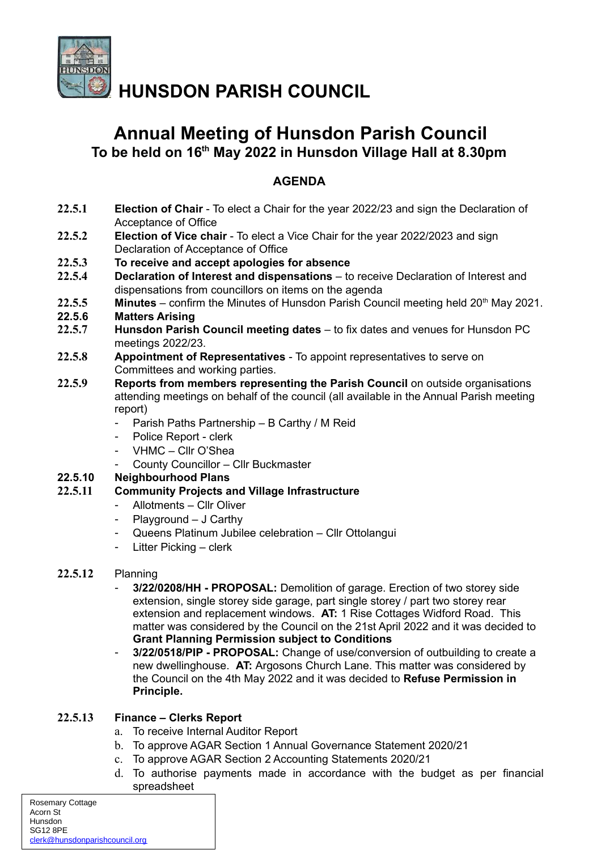

**HUNSDON PARISH COUNCIL**

# **Annual Meeting of Hunsdon Parish Council To be held on 16th May 2022 in Hunsdon Village Hall at 8.30pm**

# **AGENDA**

- **22.5.1 Election of Chair** To elect a Chair for the year 2022/23 and sign the Declaration of Acceptance of Office
- **22.5.2 Election of Vice chair** To elect a Vice Chair for the year 2022/2023 and sign Declaration of Acceptance of Office
- **22.5.3 To receive and accept apologies for absence**
- **22.5.4 Declaration of Interest and dispensations** to receive Declaration of Interest and dispensations from councillors on items on the agenda
- 22.5.5 **Minutes** confirm the Minutes of Hunsdon Parish Council meeting held 20<sup>th</sup> May 2021.
- **22.5.6 Matters Arising**
- **22.5.7 Hunsdon Parish Council meeting dates**  to fix dates and venues for Hunsdon PC meetings 2022/23.
- **22.5.8 Appointment of Representatives** To appoint representatives to serve on Committees and working parties.
- **22.5.9 Reports from members representing the Parish Council** on outside organisations attending meetings on behalf of the council (all available in the Annual Parish meeting report)
	- Parish Paths Partnership B Carthy / M Reid
	- Police Report clerk
	- VHMC Cllr O'Shea
	- County Councillor Cllr Buckmaster

## **22.5.10 Neighbourhood Plans**

## **22.5.11 Community Projects and Village Infrastructure**

- Allotments Cllr Oliver
- Playground J Carthy
- Queens Platinum Jubilee celebration Cllr Ottolangui
- Litter Picking clerk

## **22.5.12** Planning

- **3/22/0208/HH PROPOSAL:** Demolition of garage. Erection of two storey side extension, single storey side garage, part single storey / part two storey rear extension and replacement windows. **AT:** 1 Rise Cottages Widford Road. This matter was considered by the Council on the 21st April 2022 and it was decided to **Grant Planning Permission subject to Conditions**
- **3/22/0518/PIP PROPOSAL:** Change of use/conversion of outbuilding to create a new dwellinghouse. **AT:** Argosons Church Lane. This matter was considered by the Council on the 4th May 2022 and it was decided to **Refuse Permission in Principle.**

## **22.5.13 Finance – Clerks Report**

- a. To receive Internal Auditor Report
- b. To approve AGAR Section 1 Annual Governance Statement 2020/21
- c. To approve AGAR Section 2 Accounting Statements 2020/21
- d. To authorise payments made in accordance with the budget as per financial spreadsheet

| Rosemary Cottage               |  |
|--------------------------------|--|
| Acorn St                       |  |
| Hunsdon                        |  |
| <b>SG12 8PE</b>                |  |
| clerk@hunsdonparishcouncil.org |  |